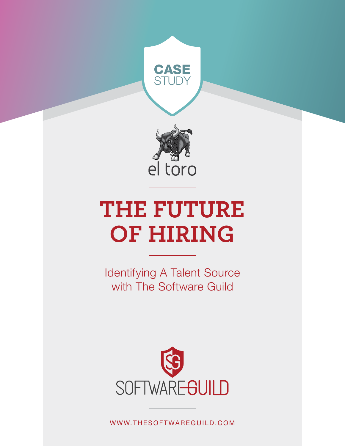



# **THE FUTURE OF HIRING**

Identifying A Talent Source with The Software Guild



WWW.THESOFTWAREGUILD.COM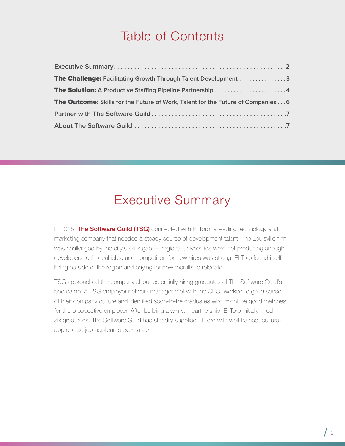## Table of Contents

| <b>The Challenge:</b> Facilitating Growth Through Talent Development 3                 |
|----------------------------------------------------------------------------------------|
| The Solution: A Productive Staffing Pipeline Partnership 4                             |
| <b>The Outcome:</b> Skills for the Future of Work, Talent for the Future of Companies6 |
|                                                                                        |
|                                                                                        |

## Executive Summary

In 2015, **[The Software Guild \(TSG\)](https://enterprise.thesoftwareguild.com/)** connected with El Toro, a leading technology and marketing company that needed a steady source of development talent. The Louisville firm was challenged by the city's skills gap — regional universities were not producing enough developers to fill local jobs, and competition for new hires was strong. El Toro found itself hiring outside of the region and paying for new recruits to relocate.

TSG approached the company about potentially hiring graduates of The Software Guild's bootcamp. A TSG employer network manager met with the CEO, worked to get a sense of their company culture and identified soon-to-be graduates who might be good matches for the prospective employer. After building a win-win partnership, El Toro initially hired six graduates. The Software Guild has steadily supplied El Toro with well-trained, cultureappropriate job applicants ever since.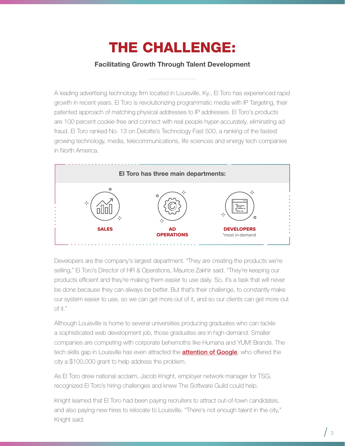## THE CHALLENGE:

#### Facilitating Growth Through Talent Development

<span id="page-2-0"></span>A leading advertising technology firm located in Louisville, Ky., El Toro has experienced rapid growth in recent years. El Toro is revolutionizing programmatic media with IP Targeting, their patented approach of matching physical addresses to IP addresses. El Toro's products are 100 percent cookie-free and connect with real people hyper-accurately, eliminating ad fraud. El Toro ranked No. 13 on Deloitte's Technology Fast 500, a ranking of the fastest growing technology, media, telecommunications, life sciences and energy tech companies in North America.



Developers are the company's largest department. "They are creating the products we're selling," El Toro's Director of HR & Operations, Maurice Zakhir said. "They're keeping our products efficient and they're making them easier to use daily. So, it's a task that will never be done because they can always be better. But that's their challenge, to constantly make our system easier to use, so we can get more out of it, and so our clients can get more out of it."

Although Louisville is home to several universities producing graduates who can tackle a sophisticated web development job, those graduates are in high-demand. Smaller companies are competing with corporate behemoths like Humana and YUM! Brands. The tech skills gap in Louisville has even attracted the **[attention of Google](https://www.courier-journal.com/story/news/local/2018/03/29/google-donates-money-louisville-tech-skills-growth/454270002/)**, who offered the city a \$100,000 grant to help address the problem.

As El Toro drew national acclaim, Jacob Knight, employer network manager for TSG, recognized El Toro's hiring challenges and knew The Software Guild could help.

Knight learned that El Toro had been paying recruiters to attract out-of-town candidates, and also paying new hires to relocate to Louisville. "There's not enough talent in the city," Knight said.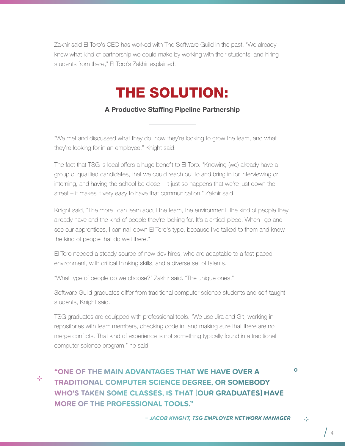<span id="page-3-0"></span>Zakhir said El Toro's CEO has worked with The Software Guild in the past. "We already knew what kind of partnership we could make by working with their students, and hiring students from there," El Toro's Zakhir explained.

## THE SOLUTION:

A Productive Staffing Pipeline Partnership

"We met and discussed what they do, how they're looking to grow the team, and what they're looking for in an employee," Knight said.

The fact that TSG is local offers a huge benefit to El Toro. "Knowing (we) already have a group of qualified candidates, that we could reach out to and bring in for interviewing or interning, and having the school be close – it just so happens that we're just down the street – it makes it very easy to have that communication." Zakhir said.

Knight said, "The more I can learn about the team, the environment, the kind of people they already have and the kind of people they're looking for. It's a critical piece. When I go and see our apprentices, I can nail down El Toro's type, because I've talked to them and know the kind of people that do well there."

El Toro needed a steady source of new dev hires, who are adaptable to a fast-paced environment, with critical thinking skills, and a diverse set of talents.

"What type of people do we choose?" Zakhir said. "The unique ones."

Software Guild graduates differ from traditional computer science students and self-taught students, Knight said.

TSG graduates are equipped with professional tools. "We use Jira and Git, working in repositories with team members, checking code in, and making sure that there are no merge conflicts. That kind of experience is not something typically found in a traditional computer science program," he said.

45

**"ONE OF THE MAIN ADVANTAGES THAT WE HAVE OVER A TRADITIONAL COMPUTER SCIENCE DEGREE, OR SOMEBODY WHO'S TAKEN SOME CLASSES, IS THAT [OUR GRADUATES] HAVE MORE OF THE PROFESSIONAL TOOLS."**

45

 $\bullet$ 

 $\frac{1}{4}$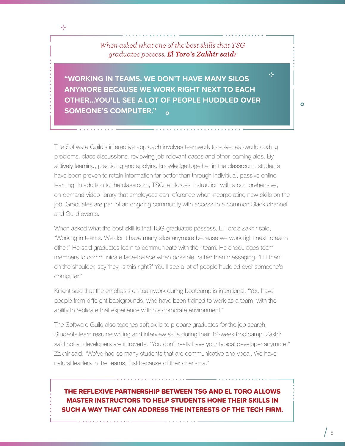*When asked what one of the best skills that TSG graduates possess, El Toro's Zakhir said:*

45

 $\bullet$ 

**"WORKING IN TEAMS. WE DON'T HAVE MANY SILOS ANYMORE BECAUSE WE WORK RIGHT NEXT TO EACH OTHER...YOU'LL SEE A LOT OF PEOPLE HUDDLED OVER SOMEONE'S COMPUTER."**

The Software Guild's interactive approach involves teamwork to solve real-world coding problems, class discussions, reviewing job-relevant cases and other learning aids. By actively learning, practicing and applying knowledge together in the classroom, students have been proven to retain information far better than through individual, passive online learning. In addition to the classroom, TSG reinforces instruction with a comprehensive, on-demand video library that employees can reference when incorporating new skills on the job. Graduates are part of an ongoing community with access to a common Slack channel and Guild events.

When asked what the best skill is that TSG graduates possess, El Toro's Zakhir said, "Working in teams. We don't have many silos anymore because we work right next to each other." He said graduates learn to communicate with their team. He encourages team members to communicate face-to-face when possible, rather than messaging. "Hit them on the shoulder, say 'hey, is this right?' You'll see a lot of people huddled over someone's computer."

Knight said that the emphasis on teamwork during bootcamp is intentional. "You have people from different backgrounds, who have been trained to work as a team, with the ability to replicate that experience within a corporate environment."

The Software Guild also teaches soft skills to prepare graduates for the job search. Students learn resume writing and interview skills during their 12-week bootcamp. Zakhir said not all developers are introverts. "You don't really have your typical developer anymore." Zakhir said. "We've had so many students that are communicative and vocal. We have natural leaders in the teams, just because of their charisma."

#### THE REFLEXIVE PARTNERSHIP BETWEEN TSG AND EL TORO ALLOWS MASTER INSTRUCTORS TO HELP STUDENTS HONE THEIR SKILLS IN SUCH A WAY THAT CAN ADDRESS THE INTERESTS OF THE TECH FIRM.

 $\sqrt{5}$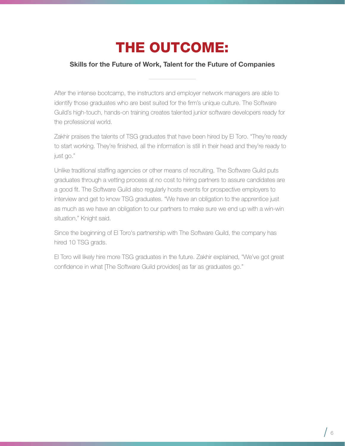## THE OUTCOME:

#### <span id="page-5-0"></span>Skills for the Future of Work, Talent for the Future of Companies

After the intense bootcamp, the instructors and employer network managers are able to identify those graduates who are best suited for the firm's unique culture. The Software Guild's high-touch, hands-on training creates talented junior software developers ready for the professional world.

Zakhir praises the talents of TSG graduates that have been hired by El Toro. "They're ready to start working. They're finished, all the information is still in their head and they're ready to just go."

Unlike traditional staffing agencies or other means of recruiting, The Software Guild puts graduates through a vetting process at no cost to hiring partners to assure candidates are a good fit. The Software Guild also regularly hosts events for prospective employers to interview and get to know TSG graduates. "We have an obligation to the apprentice just as much as we have an obligation to our partners to make sure we end up with a win-win situation," Knight said.

Since the beginning of El Toro's partnership with The Software Guild, the company has hired 10 TSG grads.

El Toro will likely hire more TSG graduates in the future. Zakhir explained, "We've got great confidence in what [The Software Guild provides] as far as graduates go."